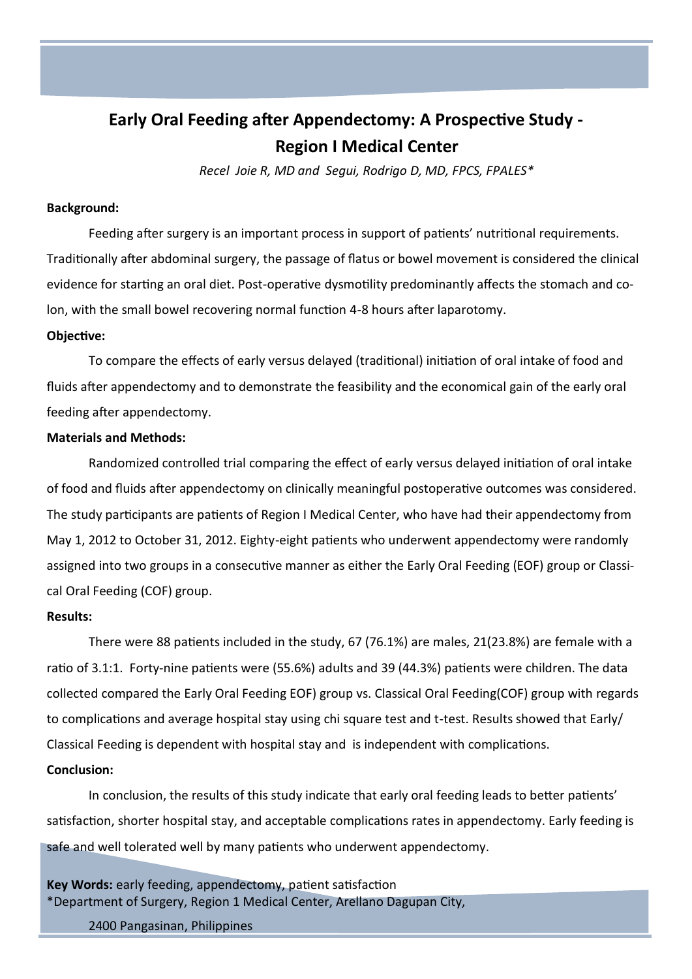# **Early Oral Feeding after Appendectomy: A Prospective Study - Region I Medical Center**

*Recel Joie R, MD and Segui, Rodrigo D, MD, FPCS, FPALES\** 

## **Background:**

Feeding after surgery is an important process in support of patients' nutritional requirements. Traditionally after abdominal surgery, the passage of flatus or bowel movement is considered the clinical evidence for starting an oral diet. Post-operative dysmotility predominantly affects the stomach and colon, with the small bowel recovering normal function 4-8 hours after laparotomy.

### **Objective:**

To compare the effects of early versus delayed (traditional) initiation of oral intake of food and fluids after appendectomy and to demonstrate the feasibility and the economical gain of the early oral feeding after appendectomy.

# **Materials and Methods:**

Randomized controlled trial comparing the effect of early versus delayed initiation of oral intake of food and fluids after appendectomy on clinically meaningful postoperative outcomes was considered. The study participants are patients of Region I Medical Center, who have had their appendectomy from May 1, 2012 to October 31, 2012. Eighty-eight patients who underwent appendectomy were randomly assigned into two groups in a consecutive manner as either the Early Oral Feeding (EOF) group or Classical Oral Feeding (COF) group.

# **Results:**

There were 88 patients included in the study, 67 (76.1%) are males, 21(23.8%) are female with a ratio of 3.1:1. Forty-nine patients were (55.6%) adults and 39 (44.3%) patients were children. The data collected compared the Early Oral Feeding EOF) group vs. Classical Oral Feeding(COF) group with regards to complications and average hospital stay using chi square test and t-test. Results showed that Early/ Classical Feeding is dependent with hospital stay and is independent with complications. **Conclusion:**

In conclusion, the results of this study indicate that early oral feeding leads to better patients' satisfaction, shorter hospital stay, and acceptable complications rates in appendectomy. Early feeding is safe and well tolerated well by many patients who underwent appendectomy.

**Key Words:** early feeding, appendectomy, patient satisfaction \*Department of Surgery, Region 1 Medical Center, Arellano Dagupan City,

2400 Pangasinan, Philippines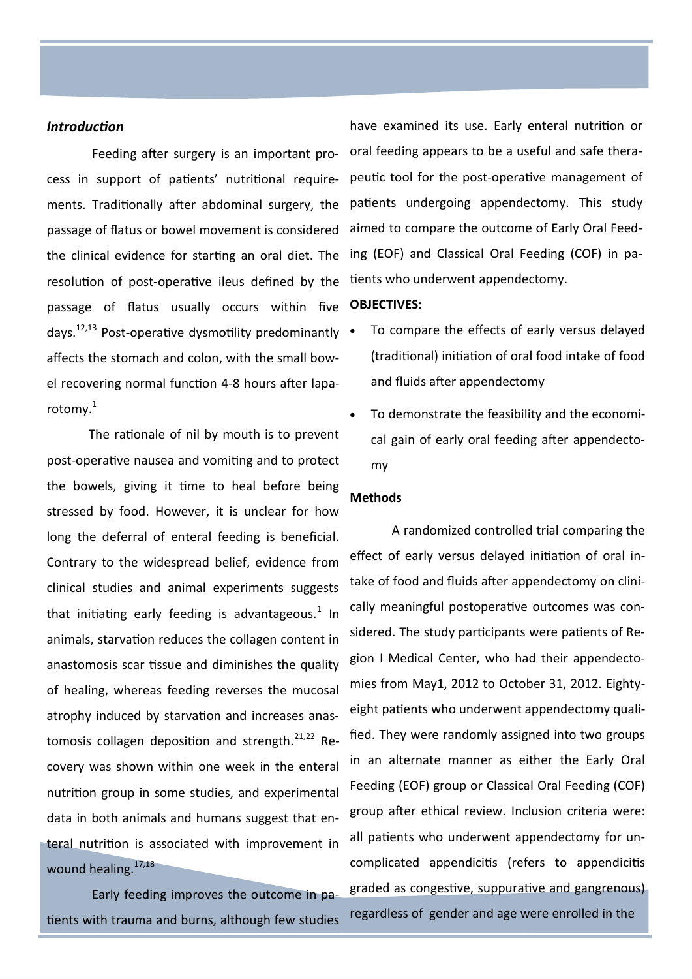#### *Introduction*

Feeding after surgery is an important process in support of patients' nutritional requirements. Traditionally after abdominal surgery, the passage of flatus or bowel movement is considered the clinical evidence for starting an oral diet. The resolution of post-operative ileus defined by the tients who underwent appendectomy. passage of flatus usually occurs within five days.<sup>12,13</sup> Post-operative dysmotility predominantly  $\bullet$ affects the stomach and colon, with the small bowel recovering normal function 4-8 hours after laparotomy.<sup>1</sup>

The rationale of nil by mouth is to prevent post-operative nausea and vomiting and to protect the bowels, giving it time to heal before being stressed by food. However, it is unclear for how long the deferral of enteral feeding is beneficial. Contrary to the widespread belief, evidence from clinical studies and animal experiments suggests that initiating early feeding is advantageous.<sup>1</sup> In animals, starvation reduces the collagen content in anastomosis scar tissue and diminishes the quality of healing, whereas feeding reverses the mucosal atrophy induced by starvation and increases anastomosis collagen deposition and strength. $^{21,22}$  Recovery was shown within one week in the enteral nutrition group in some studies, and experimental data in both animals and humans suggest that enteral nutrition is associated with improvement in wound healing.<sup>17,18</sup>

Early feeding improves the outcome in patients with trauma and burns, although few studies

have examined its use. Early enteral nutrition or oral feeding appears to be a useful and safe therapeutic tool for the post-operative management of patients undergoing appendectomy. This study aimed to compare the outcome of Early Oral Feeding (EOF) and Classical Oral Feeding (COF) in pa-

#### **OBJECTIVES:**

- To compare the effects of early versus delayed (traditional) initiation of oral food intake of food and fluids after appendectomy
- To demonstrate the feasibility and the economical gain of early oral feeding after appendectomy

### **Methods**

A randomized controlled trial comparing the effect of early versus delayed initiation of oral intake of food and fluids after appendectomy on clinically meaningful postoperative outcomes was considered. The study participants were patients of Region I Medical Center, who had their appendectomies from May1, 2012 to October 31, 2012. Eightyeight patients who underwent appendectomy qualified. They were randomly assigned into two groups in an alternate manner as either the Early Oral Feeding (EOF) group or Classical Oral Feeding (COF) group after ethical review. Inclusion criteria were: all patients who underwent appendectomy for uncomplicated appendicitis (refers to appendicitis graded as congestive, suppurative and gangrenous) regardless of gender and age were enrolled in the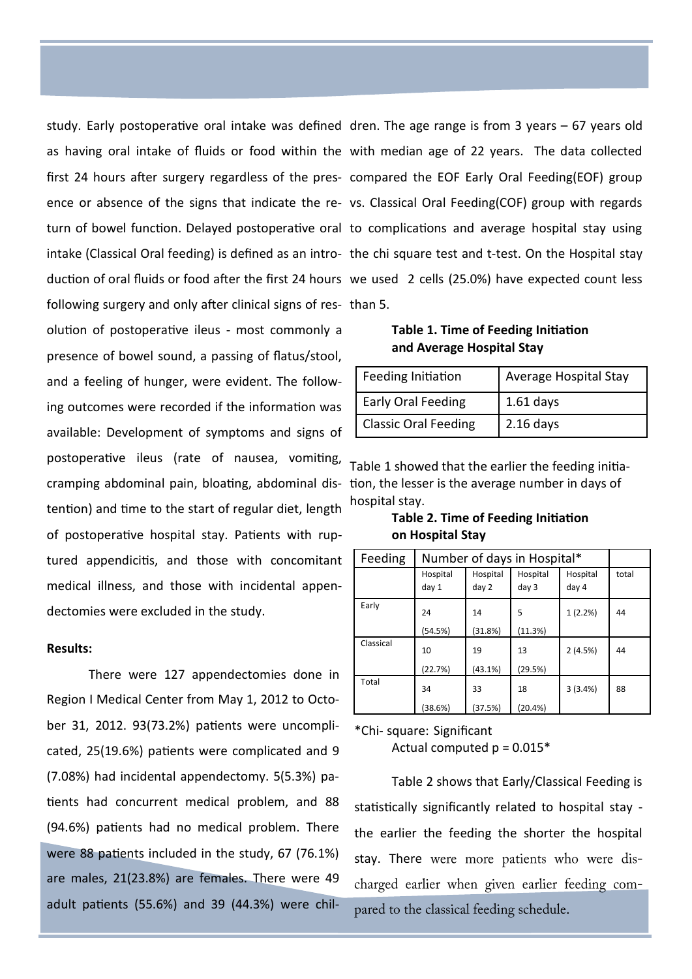study. Early postoperative oral intake was defined dren. The age range is from 3 years – 67 years old following surgery and only after clinical signs of res-than 5.

olution of postoperative ileus - most commonly a presence of bowel sound, a passing of flatus/stool, and a feeling of hunger, were evident. The following outcomes were recorded if the information was available: Development of symptoms and signs of postoperative ileus (rate of nausea, vomiting, cramping abdominal pain, bloating, abdominal dis-tion, the lesser is the average number in days of tention) and time to the start of regular diet, length of postoperative hospital stay. Patients with ruptured appendicitis, and those with concomitant medical illness, and those with incidental appendectomies were excluded in the study.

#### **Results:**

There were 127 appendectomies done in Region I Medical Center from May 1, 2012 to October 31, 2012. 93(73.2%) patients were uncomplicated, 25(19.6%) patients were complicated and 9 (7.08%) had incidental appendectomy. 5(5.3%) patients had concurrent medical problem, and 88 (94.6%) patients had no medical problem. There were 88 patients included in the study, 67 (76.1%) are males, 21(23.8%) are females. There were 49 adult patients (55.6%) and 39 (44.3%) were chil-

as having oral intake of fluids or food within the with median age of 22 years. The data collected first 24 hours after surgery regardless of the pres-compared the EOF Early Oral Feeding(EOF) group ence or absence of the signs that indicate the re-vs. Classical Oral Feeding(COF) group with regards turn of bowel function. Delayed postoperative oral to complications and average hospital stay using intake (Classical Oral feeding) is defined as an intro- the chi square test and t-test. On the Hospital stay duction of oral fluids or food after the first 24 hours we used 2 cells (25.0%) have expected count less

**Table 1. Time of Feeding Initiation and Average Hospital Stay**

| Feeding Initiation          | Average Hospital Stay |  |  |
|-----------------------------|-----------------------|--|--|
| Early Oral Feeding          | $1.61$ days           |  |  |
| <b>Classic Oral Feeding</b> | $2.16$ days           |  |  |

Table 1 showed that the earlier the feeding initiahospital stay.

**Table 2. Time of Feeding Initiation on Hospital Stay**

| Feeding   | Number of days in Hospital* |                   |                   |                   |       |
|-----------|-----------------------------|-------------------|-------------------|-------------------|-------|
|           | Hospital<br>day 1           | Hospital<br>day 2 | Hospital<br>day 3 | Hospital<br>day 4 | total |
| Early     | 24<br>(54.5%)               | 14<br>(31.8%)     | 5<br>(11.3%)      | 1(2.2%)           | 44    |
| Classical | 10<br>(22.7%)               | 19<br>(43.1%)     | 13<br>(29.5%)     | 2(4.5%)           | 44    |
| Total     | 34<br>(38.6%)               | 33<br>(37.5%)     | 18<br>(20.4%)     | 3(3.4%)           | 88    |

\*Chi- square: Significant

Actual computed  $p = 0.015*$ 

Table 2 shows that Early/Classical Feeding is statistically significantly related to hospital stay the earlier the feeding the shorter the hospital stay. There were more patients who were discharged earlier when given earlier feeding compared to the classical feeding schedule.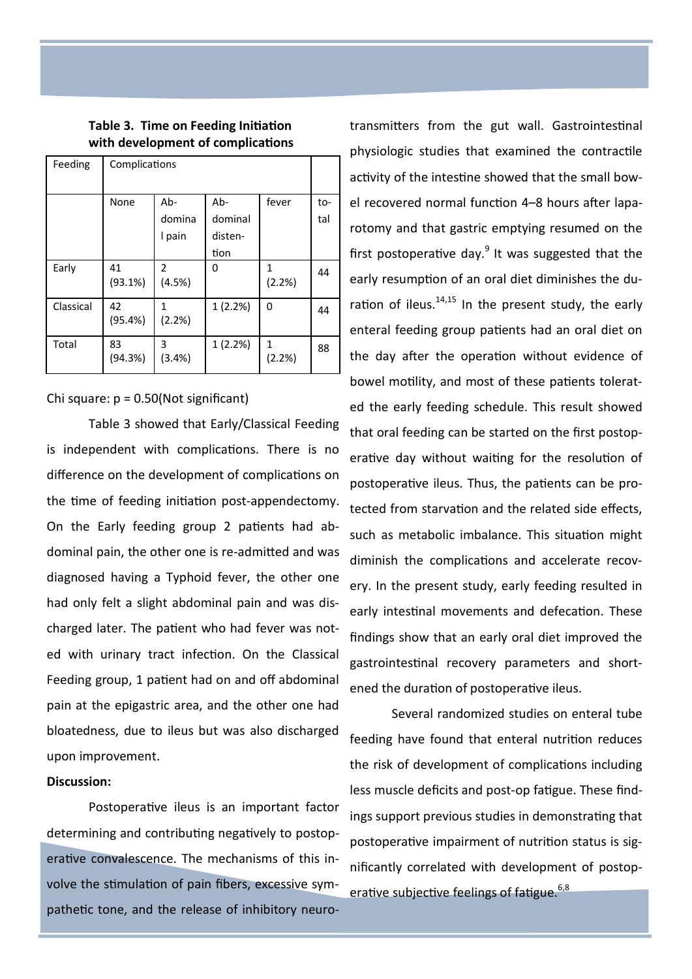|                                   | Table 3. Time on Feeding Initiation |  |
|-----------------------------------|-------------------------------------|--|
| with development of complications |                                     |  |

| Feeding   | Complications |                          |          |             |     |
|-----------|---------------|--------------------------|----------|-------------|-----|
|           | None          | $Ab-$                    | $Ab-$    | fever       | to- |
|           |               | domina                   | dominal  |             | tal |
|           |               | I pain                   | disten-  |             |     |
|           |               |                          | tion     |             |     |
| Early     | 41<br>(93.1%) | $\overline{2}$<br>(4.5%) | $\Omega$ | 1<br>(2.2%) | 44  |
| Classical | 42<br>(95.4%) | 1<br>(2.2%)              | 1(2.2%)  | 0           | 44  |
| Total     | 83<br>(94.3%) | 3<br>$(3.4\%)$           | 1(2.2%)  | 1<br>(2.2%) | 88  |

Chi square:  $p = 0.50$ (Not significant)

Table 3 showed that Early/Classical Feeding is independent with complications. There is no difference on the development of complications on the time of feeding initiation post-appendectomy. On the Early feeding group 2 patients had abdominal pain, the other one is re-admitted and was diagnosed having a Typhoid fever, the other one had only felt a slight abdominal pain and was discharged later. The patient who had fever was noted with urinary tract infection. On the Classical Feeding group, 1 patient had on and off abdominal pain at the epigastric area, and the other one had bloatedness, due to ileus but was also discharged upon improvement.

### **Discussion:**

Postoperative ileus is an important factor determining and contributing negatively to postoperative convalescence. The mechanisms of this involve the stimulation of pain fibers, excessive sympathetic tone, and the release of inhibitory neurotransmitters from the gut wall. Gastrointestinal physiologic studies that examined the contractile activity of the intestine showed that the small bowel recovered normal function 4–8 hours after laparotomy and that gastric emptying resumed on the first postoperative day. $9$  It was suggested that the early resumption of an oral diet diminishes the duration of ileus. $14,15$  In the present study, the early enteral feeding group patients had an oral diet on the day after the operation without evidence of bowel motility, and most of these patients tolerated the early feeding schedule. This result showed that oral feeding can be started on the first postoperative day without waiting for the resolution of postoperative ileus. Thus, the patients can be protected from starvation and the related side effects, such as metabolic imbalance. This situation might diminish the complications and accelerate recovery. In the present study, early feeding resulted in early intestinal movements and defecation. These findings show that an early oral diet improved the gastrointestinal recovery parameters and shortened the duration of postoperative ileus.

Several randomized studies on enteral tube feeding have found that enteral nutrition reduces the risk of development of complications including less muscle deficits and post-op fatigue. These findings support previous studies in demonstrating that postoperative impairment of nutrition status is significantly correlated with development of postoperative subjective feelings of fatigue.<sup>6,8</sup>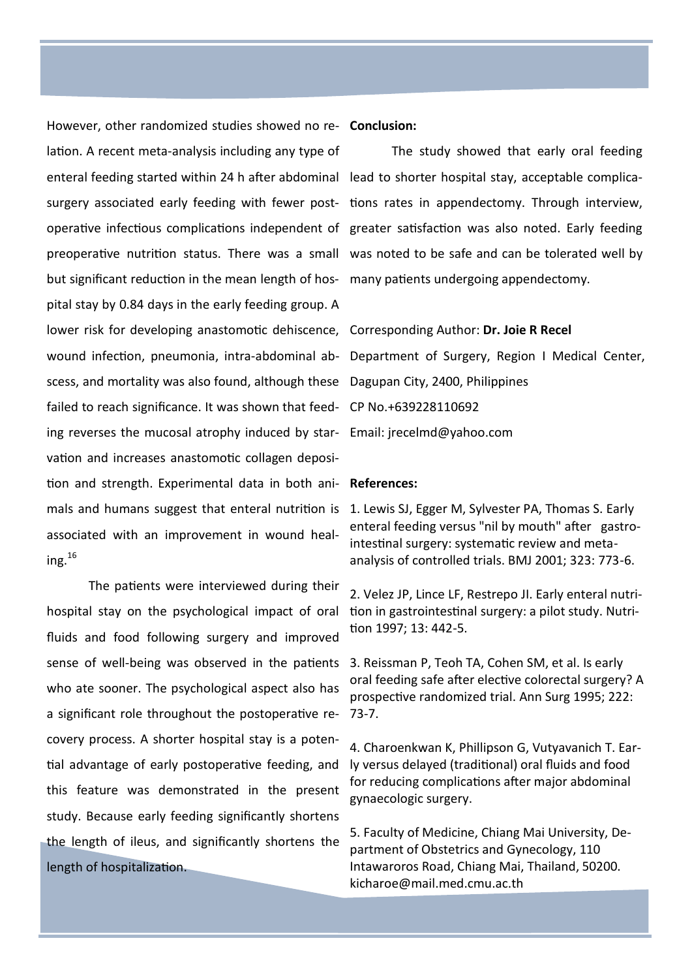However, other randomized studies showed no re-**Conclusion:** lation. A recent meta-analysis including any type of enteral feeding started within 24 h after abdominal lead to shorter hospital stay, acceptable complicabut significant reduction in the mean length of hos-many patients undergoing appendectomy. pital stay by 0.84 days in the early feeding group. A lower risk for developing anastomotic dehiscence, Corresponding Author: **Dr. Joie R Recel** scess, and mortality was also found, although these Dagupan City, 2400, Philippines failed to reach significance. It was shown that feed-CP No.+639228110692 ing reverses the mucosal atrophy induced by star-Email: [jrecelmd@yahoo.com](mailto:jrecelmd@yahoo.com) vation and increases anastomotic collagen deposition and strength. Experimental data in both ani-**References:** mals and humans suggest that enteral nutrition is 1. Lewis SJ, Egger M, Sylvester PA, Thomas S. Early associated with an improvement in wound healing.<sup>16</sup>

The patients were interviewed during their hospital stay on the psychological impact of oral fluids and food following surgery and improved sense of well-being was observed in the patients who ate sooner. The psychological aspect also has a significant role throughout the postoperative recovery process. A shorter hospital stay is a potential advantage of early postoperative feeding, and this feature was demonstrated in the present study. Because early feeding significantly shortens the length of ileus, and significantly shortens the length of hospitalization.

surgery associated early feeding with fewer post- tions rates in appendectomy. Through interview, operative infectious complications independent of greater satisfaction was also noted. Early feeding preoperative nutrition status. There was a small was noted to be safe and can be tolerated well by The study showed that early oral feeding

wound infection, pneumonia, intra-abdominal ab-Department of Surgery, Region I Medical Center,

enteral feeding versus "nil by mouth" after gastrointestinal surgery: systematic review and metaanalysis of controlled trials. BMJ 2001; 323: 773-6.

2. Velez JP, Lince LF, Restrepo JI. Early enteral nutrition in gastrointestinal surgery: a pilot study. Nutrition 1997; 13: 442-5.

3. Reissman P, Teoh TA, Cohen SM, et al. Is early oral feeding safe after elective colorectal surgery? A prospective randomized trial. Ann Surg 1995; 222: 73-7.

4. [Charoenkwan K,](http://www.ncbi.nlm.nih.gov/pubmed?term=Charoenkwan%20K%5BAuthor%5D&cauthor=true&cauthor_uid=17943817) [Phillipson G,](http://www.ncbi.nlm.nih.gov/pubmed?term=Phillipson%20G%5BAuthor%5D&cauthor=true&cauthor_uid=17943817) [Vutyavanich T.](http://www.ncbi.nlm.nih.gov/pubmed?term=Vutyavanich%20T%5BAuthor%5D&cauthor=true&cauthor_uid=17943817) Early versus delayed (traditional) oral fluids and food for reducing complications after major abdominal gynaecologic surgery.

5. Faculty of Medicine, Chiang Mai University, Department of Obstetrics and Gynecology, 110 Intawaroros Road, Chiang Mai, Thailand, 50200. [kicharoe@mail.med.cmu.ac.th](mailto:kicharoe@mail.med.cmu.ac.th)